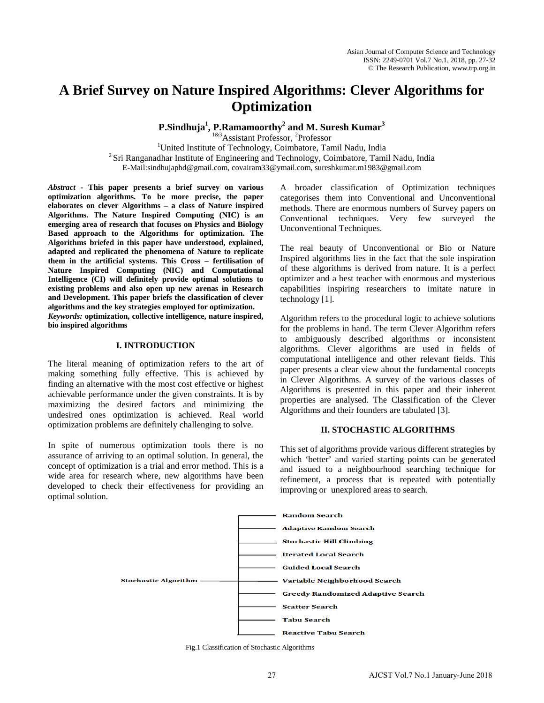# **A Brief Survey on Nature Inspired Algorithms: Clever Algorithms for Optimization**

**P.Sindhuja1 , P.Ramamoorthy2 and M. Suresh Kumar<sup>3</sup>**

<sup>1&3</sup>Assistant Professor, <sup>2</sup>Professor<br><sup>1</sup>United Institute of Technology, Coimbatore, Technology <sup>1</sup>United Institute of Technology, Coimbatore, Tamil Nadu, India  $2\$ Sri Ranganadhar Institute of Engineering and Technology, Coimbatore, Tamil Nadu, India E-Mail:sindhujaphd@gmail.com, covairam33@ymail.com, sureshkumar.m1983@gmail.com

*Abstract -* **This paper presents a brief survey on various optimization algorithms. To be more precise, the paper elaborates on clever Algorithms – a class of Nature inspired Algorithms. The Nature Inspired Computing (NIC) is an emerging area of research that focuses on Physics and Biology Based approach to the Algorithms for optimization. The Algorithms briefed in this paper have understood, explained, adapted and replicated the phenomena of Nature to replicate them in the artificial systems. This Cross – fertilisation of Nature Inspired Computing (NIC) and Computational Intelligence (CI) will definitely provide optimal solutions to existing problems and also open up new arenas in Research and Development. This paper briefs the classification of clever algorithms and the key strategies employed for optimization.** *Keywords:* **optimization, collective intelligence, nature inspired, bio inspired algorithms**

#### **I. INTRODUCTION**

The literal meaning of optimization refers to the art of making something fully effective. This is achieved by finding an alternative with the most cost effective or highest achievable performance under the given constraints. It is by maximizing the desired factors and minimizing the undesired ones optimization is achieved. Real world optimization problems are definitely challenging to solve.

In spite of numerous optimization tools there is no assurance of arriving to an optimal solution. In general, the concept of optimization is a trial and error method. This is a wide area for research where, new algorithms have been developed to check their effectiveness for providing an optimal solution.

A broader classification of Optimization techniques categorises them into Conventional and Unconventional methods. There are enormous numbers of Survey papers on Conventional techniques. Very few surveyed the Unconventional Techniques.

The real beauty of Unconventional or Bio or Nature Inspired algorithms lies in the fact that the sole inspiration of these algorithms is derived from nature. It is a perfect optimizer and a best teacher with enormous and mysterious capabilities inspiring researchers to imitate nature in technology [1].

Algorithm refers to the procedural logic to achieve solutions for the problems in hand. The term Clever Algorithm refers to ambiguously described algorithms or inconsistent algorithms. Clever algorithms are used in fields of computational intelligence and other relevant fields. This paper presents a clear view about the fundamental concepts in Clever Algorithms. A survey of the various classes of Algorithms is presented in this paper and their inherent properties are analysed. The Classification of the Clever Algorithms and their founders are tabulated [3].

#### **II. STOCHASTIC ALGORITHMS**

This set of algorithms provide various different strategies by which 'better' and varied starting points can be generated and issued to a neighbourhood searching technique for refinement, a process that is repeated with potentially improving or unexplored areas to search.



Fig.1 Classification of Stochastic Algorithms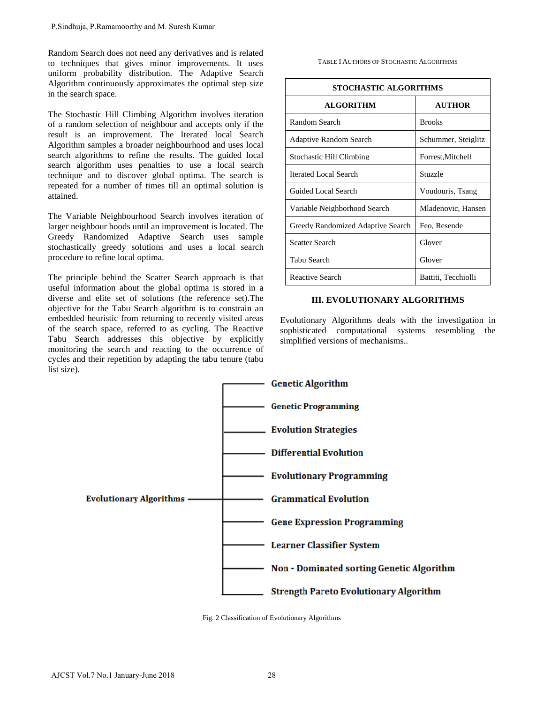Random Search does not need any derivatives and is related to techniques that gives minor improvements. It uses uniform probability distribution. The Adaptive Search Algorithm continuously approximates the optimal step size in the search space.

The Stochastic Hill Climbing Algorithm involves iteration of a random selection of neighbour and accepts only if the result is an improvement. The Iterated local Search Algorithm samples a broader neighbourhood and uses local search algorithms to refine the results. The guided local search algorithm uses penalties to use a local search technique and to discover global optima. The search is repeated for a number of times till an optimal solution is attained.

The Variable Neighbourhood Search involves iteration of larger neighbour hoods until an improvement is located. The Greedy Randomized Adaptive Search uses sample stochastically greedy solutions and uses a local search procedure to refine local optima.

The principle behind the Scatter Search approach is that useful information about the global optima is stored in a diverse and elite set of solutions (the reference set).The objective for the Tabu Search algorithm is to constrain an embedded heuristic from returning to recently visited areas of the search space, referred to as cycling. The Reactive Tabu Search addresses this objective by explicitly monitoring the search and reacting to the occurrence of cycles and their repetition by adapting the tabu tenure (tabu list size).

TABLE I AUTHORS OF STOCHASTIC ALGORITHMS

| <b>STOCHASTIC ALGORITHMS</b>      |                     |
|-----------------------------------|---------------------|
| <b>ALGORITHM</b>                  | <b>AUTHOR</b>       |
| Random Search                     | <b>Brooks</b>       |
| <b>Adaptive Random Search</b>     | Schummer, Steiglitz |
| Stochastic Hill Climbing          | Forrest, Mitchell   |
| Iterated Local Search             | Stuzzle             |
| Guided Local Search               | Voudouris, Tsang    |
| Variable Neighborhood Search      | Mladenovic, Hansen  |
| Greedy Randomized Adaptive Search | Feo, Resende        |
| Scatter Search                    | Glover              |
| Tabu Search                       | Glover              |
| <b>Reactive Search</b>            | Battiti, Tecchiolli |

## **III. EVOLUTIONARY ALGORITHMS**

Evolutionary Algorithms deals with the investigation in sophisticated computational systems resembling the simplified versions of mechanisms..



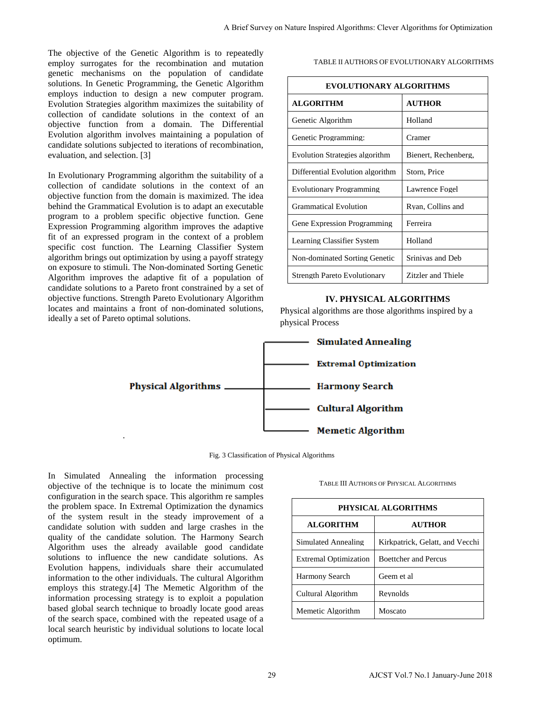The objective of the Genetic Algorithm is to repeatedly employ surrogates for the recombination and mutation genetic mechanisms on the population of candidate solutions. In Genetic Programming, the Genetic Algorithm employs induction to design a new computer program. Evolution Strategies algorithm maximizes the suitability of collection of candidate solutions in the context of an objective function from a domain. The Differential Evolution algorithm involves maintaining a population of candidate solutions subjected to iterations of recombination, evaluation, and selection. [3]

In Evolutionary Programming algorithm the suitability of a collection of candidate solutions in the context of an objective function from the domain is maximized. The idea behind the Grammatical Evolution is to adapt an executable program to a problem specific objective function. Gene Expression Programming algorithm improves the adaptive fit of an expressed program in the context of a problem specific cost function. The Learning Classifier System algorithm brings out optimization by using a payoff strategy on exposure to stimuli. The Non-dominated Sorting Genetic Algorithm improves the adaptive fit of a population of candidate solutions to a Pareto front constrained by a set of objective functions. Strength Pareto Evolutionary Algorithm locates and maintains a front of non-dominated solutions, ideally a set of Pareto optimal solutions.

#### TABLE II AUTHORS OF EVOLUTIONARY ALGORITHMS

| repeatedly<br>l mutation<br>candidate                                            |                                                                                     |            | TABLE II AUTHORS OF EVOLUTIONARY ALGORITHMS |
|----------------------------------------------------------------------------------|-------------------------------------------------------------------------------------|------------|---------------------------------------------|
| Algorithm<br>r program.                                                          | <b>EVOLUTIONARY ALGORITHMS</b>                                                      |            |                                             |
| iitability of                                                                    | <b>ALGORITHM</b>                                                                    |            | <b>AUTHOR</b>                               |
| text of an<br>Differential                                                       | Genetic Algorithm                                                                   |            | Holland                                     |
| pulation of<br>mbination,                                                        | Genetic Programming:                                                                |            | Cramer                                      |
|                                                                                  | <b>Evolution Strategies algorithm</b>                                               |            | Bienert, Rechenberg,                        |
| ability of a                                                                     | Differential Evolution algorithm                                                    |            | Storn, Price                                |
| text of an<br>d. The idea                                                        | <b>Evolutionary Programming</b>                                                     |            | Lawrence Fogel                              |
| executable                                                                       | <b>Grammatical Evolution</b>                                                        |            | Ryan, Collins and                           |
| tion. Gene<br>ne adaptive                                                        | Gene Expression Programming                                                         |            | Ferreira                                    |
| a problem<br>er System                                                           | Learning Classifier System                                                          |            | Holland                                     |
| off strategy                                                                     | Non-dominated Sorting Genetic                                                       |            | Srinivas and Deb                            |
| ng Genetic<br>pulation of                                                        | <b>Strength Pareto Evolutionary</b>                                                 |            | Zitzler and Thiele                          |
|                                                                                  | <b>Simulated Annealing</b><br><b>Extremal Optimization</b><br><b>Harmony Search</b> |            |                                             |
|                                                                                  | <b>Cultural Algorithm</b><br><b>Memetic Algorithm</b>                               |            |                                             |
| 3 Classification of Physical Algorithms<br>processing<br>imum cost<br>re samples | <b>TABLE III AUTHORS OF PHYSICAL ALGORITHMS</b>                                     |            |                                             |
| e dynamics                                                                       | PHYSICAL ALGORITHMS                                                                 |            |                                             |
| ment of a<br>hes in the                                                          | <b>ALGORITHM</b>                                                                    |            | <b>AUTHOR</b>                               |
|                                                                                  | Simulated Annealing                                                                 |            | Kirkpatrick, Gelatt, and Vecchi             |
|                                                                                  | <b>Extremal Optimization</b>                                                        |            | <b>Boettcher and Percus</b>                 |
| ony Search<br>candidate<br>utions. As<br>ccumulated<br>Algorithm                 | <b>Harmony Search</b>                                                               | Geem et al |                                             |
| thm of the<br>population<br>good areas                                           | Cultural Algorithm                                                                  | Reynolds   |                                             |

#### **IV. PHYSICAL ALGORITHMS**



Fig. 3 Classification of Physical Algorithms

In Simulated Annealing the information processing objective of the technique is to locate the minimum cost configuration in the search space. This algorithm re samples the problem space. In Extremal Optimization the dynamics of the system result in the steady improvement of a candidate solution with sudden and large crashes in the quality of the candidate solution. The Harmony Search Algorithm uses the already available good candidate solutions to influence the new candidate solutions. As Evolution happens, individuals share their accumulated information to the other individuals. The cultural Algorithm employs this strategy.[4] The Memetic Algorithm of the information processing strategy is to exploit a population based global search technique to broadly locate good areas of the search space, combined with the repeated usage of a local search heuristic by individual solutions to locate local optimum.

| PHYSICAL ALGORITHMS          |                                 |  |
|------------------------------|---------------------------------|--|
| <b>ALGORITHM</b>             | AUTHOR                          |  |
| Simulated Annealing          | Kirkpatrick, Gelatt, and Vecchi |  |
| <b>Extremal Optimization</b> | <b>Boettcher and Percus</b>     |  |
| <b>Harmony Search</b>        | Geem et al.                     |  |
| Cultural Algorithm           | Revnolds                        |  |
| Memetic Algorithm            | Moscato                         |  |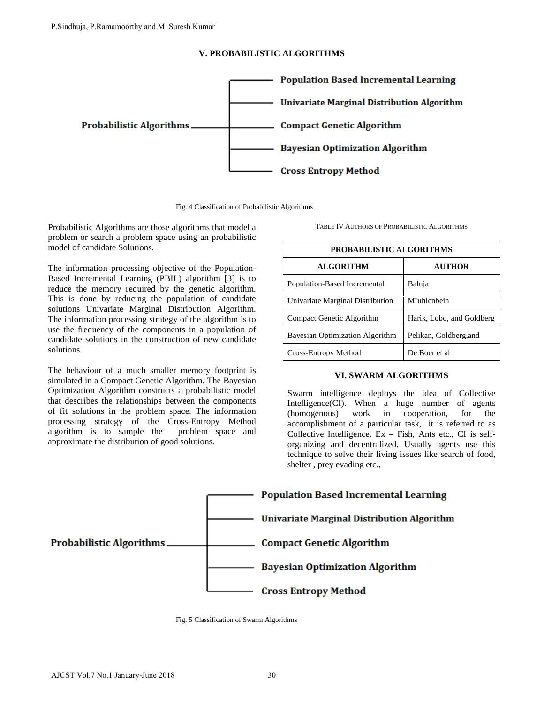## **V. PROBABILISTIC ALGORITHMS**



Fig. 4 Classification of Probabilistic Algorithms

Probabilistic Algorithms are those algorithms that model a problem or search a problem space using an probabilistic model of candidate Solutions.

The information processing objective of the Population-Based Incremental Learning (PBIL) algorithm [3] is to reduce the memory required by the genetic algorithm. This is done by reducing the population of candidate solutions Univariate Marginal Distribution Algorithm. The information processing strategy of the algorithm is to use the frequency of the components in a population of candidate solutions in the construction of new candidate solutions.

The behaviour of a much smaller memory footprint is simulated in a Compact Genetic Algorithm. The Bayesian Optimization Algorithm constructs a probabilistic model that describes the relationships between the components of fit solutions in the problem space. The information processing strategy of the Cross-Entropy Method algorithm is to sample the problem space and approximate the distribution of good solutions.

TABLE IV AUTHORS OF PROBABILISTIC ALGORITHMS

| <b>PROBABILISTIC ALGORITHMS</b>  |                           |  |
|----------------------------------|---------------------------|--|
| <b>ALGORITHM</b>                 | <b>AUTHOR</b>             |  |
| Population-Based Incremental     | Baluja                    |  |
| Univariate Marginal Distribution | M"uhlenbein               |  |
| Compact Genetic Algorithm        | Harik, Lobo, and Goldberg |  |
| Bayesian Optimization Algorithm  | Pelikan, Goldberg, and    |  |
| Cross-Entropy Method             | De Boer et al             |  |

## **VI. SWARM ALGORITHMS**

Swarm intelligence deploys the idea of Collective Intelligence(CI). When a huge number of agents (homogenous) work in cooperation, for the accomplishment of a particular task, it is referred to as Collective Intelligence.  $Ex - Fish$ , Ants etc., CI is selforganizing and decentralized. Usually agents use this technique to solve their living issues like search of food, shelter , prey evading etc.,



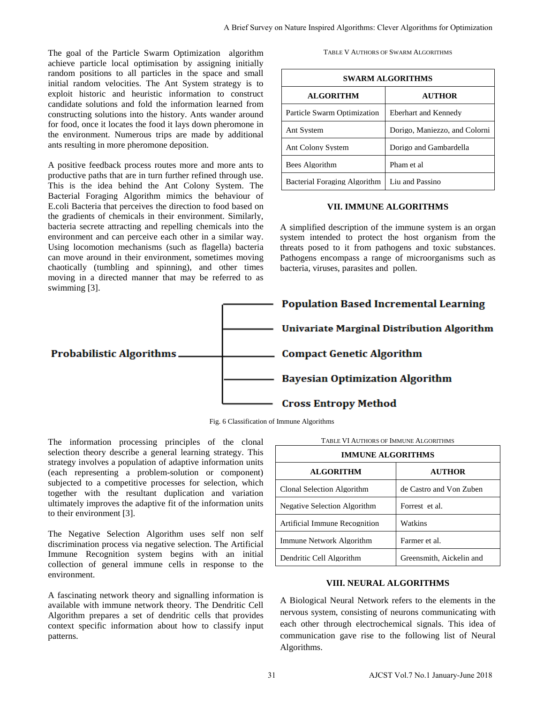The goal of the Particle Swarm Optimization algorithm achieve particle local optimisation by assigning initially random positions to all particles in the space and small initial random velocities. The Ant System strategy is to exploit historic and heuristic information to construct candidate solutions and fold the information learned from constructing solutions into the history. Ants wander around for food, once it locates the food it lays down pheromone in the environment. Numerous trips are made by additional ants resulting in more pheromone deposition.

A positive feedback process routes more and more ants to productive paths that are in turn further refined through use. This is the idea behind the Ant Colony System. The Bacterial Foraging Algorithm mimics the behaviour of E.coli Bacteria that perceives the direction to food based on the gradients of chemicals in their environment. Similarly, bacteria secrete attracting and repelling chemicals into the environment and can perceive each other in a similar way. Using locomotion mechanisms (such as flagella) bacteria can move around in their environment, sometimes moving chaotically (tumbling and spinning), and other times moving in a directed manner that may be referred to as swimming [3].

TABLE V AUTHORS OF SWARM ALGORITHMS

| <b>SWARM ALGORITHMS</b>      |                               |  |
|------------------------------|-------------------------------|--|
| <b>ALGORITHM</b>             | <b>AUTHOR</b>                 |  |
| Particle Swarm Optimization  | Eberhart and Kennedy          |  |
| Ant System                   | Dorigo, Maniezzo, and Colorni |  |
| <b>Ant Colony System</b>     | Dorigo and Gambardella        |  |
| Bees Algorithm               | Pham et al.                   |  |
| Bacterial Foraging Algorithm | Liu and Passino               |  |

## **VII. IMMUNE ALGORITHMS**

A simplified description of the immune system is an organ system intended to protect the host organism from the threats posed to it from pathogens and toxic substances. Pathogens encompass a range of microorganisms such as bacteria, viruses, parasites and pollen.



Fig. 6 Classification of Immune Algorithms

The information processing principles of the clonal selection theory describe a general learning strategy. This strategy involves a population of adaptive information units (each representing a problem-solution or component) subjected to a competitive processes for selection, which together with the resultant duplication and variation ultimately improves the adaptive fit of the information units to their environment [3].

The Negative Selection Algorithm uses self non self discrimination process via negative selection. The Artificial Immune Recognition system begins with an initial collection of general immune cells in response to the environment.

A fascinating network theory and signalling information is available with immune network theory. The Dendritic Cell Algorithm prepares a set of dendritic cells that provides context specific information about how to classify input patterns.

| <b>IMMUNE ALGORITHMS</b>      |                          |  |
|-------------------------------|--------------------------|--|
| <b>ALGORITHM</b>              | <b>AUTHOR</b>            |  |
| Clonal Selection Algorithm    | de Castro and Von Zuben  |  |
| Negative Selection Algorithm  | Forrest et al.           |  |
| Artificial Immune Recognition | Watkins                  |  |
| Immune Network Algorithm      | Farmer et al.            |  |
| Dendritic Cell Algorithm      | Greensmith, Aickelin and |  |

## **VIII. NEURAL ALGORITHMS**

A Biological Neural Network refers to the elements in the nervous system, consisting of neurons communicating with each other through electrochemical signals. This idea of communication gave rise to the following list of Neural Algorithms.